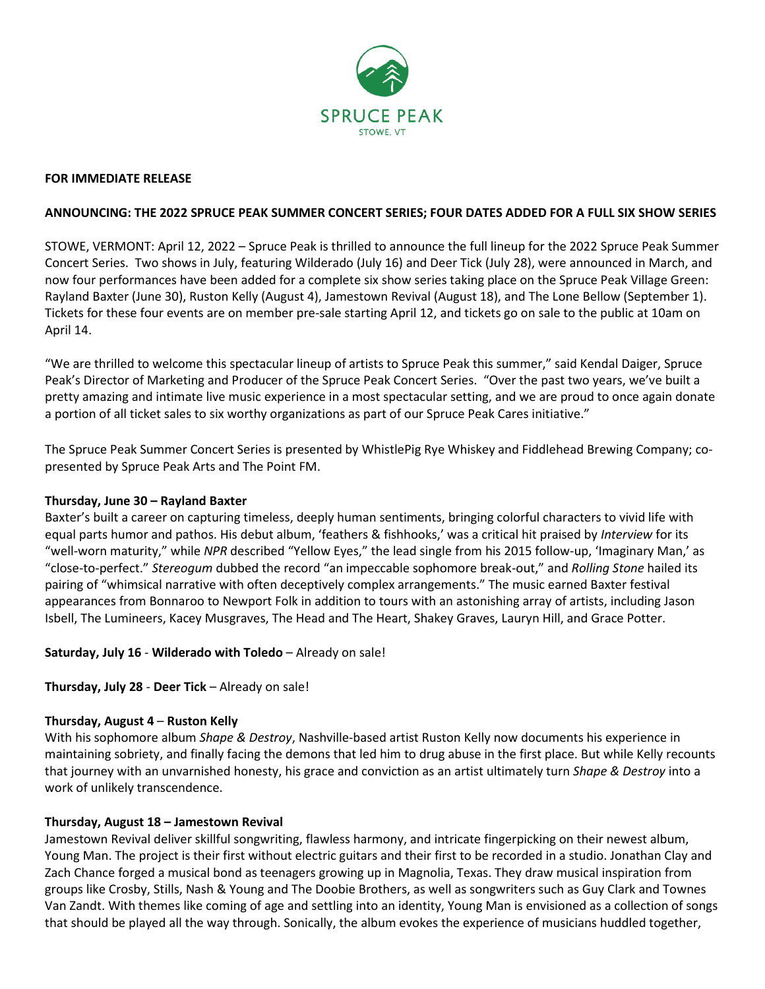

### **FOR IMMEDIATE RELEASE**

## **ANNOUNCING: THE 2022 SPRUCE PEAK SUMMER CONCERT SERIES; FOUR DATES ADDED FOR A FULL SIX SHOW SERIES**

STOWE, VERMONT: April 12, 2022 – Spruce Peak is thrilled to announce the full lineup for the 2022 Spruce Peak Summer Concert Series. Two shows in July, featuring Wilderado (July 16) and Deer Tick (July 28), were announced in March, and now four performances have been added for a complete six show series taking place on the Spruce Peak Village Green: Rayland Baxter (June 30), Ruston Kelly (August 4), Jamestown Revival (August 18), and The Lone Bellow (September 1). Tickets for these four events are on member pre-sale starting April 12, and tickets go on sale to the public at 10am on April 14.

"We are thrilled to welcome this spectacular lineup of artists to Spruce Peak this summer," said Kendal Daiger, Spruce Peak's Director of Marketing and Producer of the Spruce Peak Concert Series. "Over the past two years, we've built a pretty amazing and intimate live music experience in a most spectacular setting, and we are proud to once again donate a portion of all ticket sales to six worthy organizations as part of our Spruce Peak Cares initiative."

The Spruce Peak Summer Concert Series is presented by WhistlePig Rye Whiskey and Fiddlehead Brewing Company; copresented by Spruce Peak Arts and The Point FM.

### **Thursday, June 30 – Rayland Baxter**

Baxter's built a career on capturing timeless, deeply human sentiments, bringing colorful characters to vivid life with equal parts humor and pathos. His debut album, 'feathers & fishhooks,' was a critical hit praised by *Interview* for its "well-worn maturity," while *NPR* described "Yellow Eyes," the lead single from his 2015 follow-up, 'Imaginary Man,' as "close-to-perfect." *Stereogum* dubbed the record "an impeccable sophomore break-out," and *Rolling Stone* hailed its pairing of "whimsical narrative with often deceptively complex arrangements." The music earned Baxter festival appearances from Bonnaroo to Newport Folk in addition to tours with an astonishing array of artists, including Jason Isbell, The Lumineers, Kacey Musgraves, The Head and The Heart, Shakey Graves, Lauryn Hill, and Grace Potter.

**Saturday, July 16** - **Wilderado with Toledo** – Already on sale!

# **Thursday, July 28** - **Deer Tick** – Already on sale!

### **Thursday, August 4** – **Ruston Kelly**

With his sophomore album *Shape & Destroy*, Nashville-based artist Ruston Kelly now documents his experience in maintaining sobriety, and finally facing the demons that led him to drug abuse in the first place. But while Kelly recounts that journey with an unvarnished honesty, his grace and conviction as an artist ultimately turn *Shape & Destroy* into a work of unlikely transcendence.

### **Thursday, August 18 – Jamestown Revival**

Jamestown Revival deliver skillful songwriting, flawless harmony, and intricate fingerpicking on their newest album, Young Man. The project is their first without electric guitars and their first to be recorded in a studio. Jonathan Clay and Zach Chance forged a musical bond as teenagers growing up in Magnolia, Texas. They draw musical inspiration from groups like Crosby, Stills, Nash & Young and The Doobie Brothers, as well as songwriters such as Guy Clark and Townes Van Zandt. With themes like coming of age and settling into an identity, Young Man is envisioned as a collection of songs that should be played all the way through. Sonically, the album evokes the experience of musicians huddled together,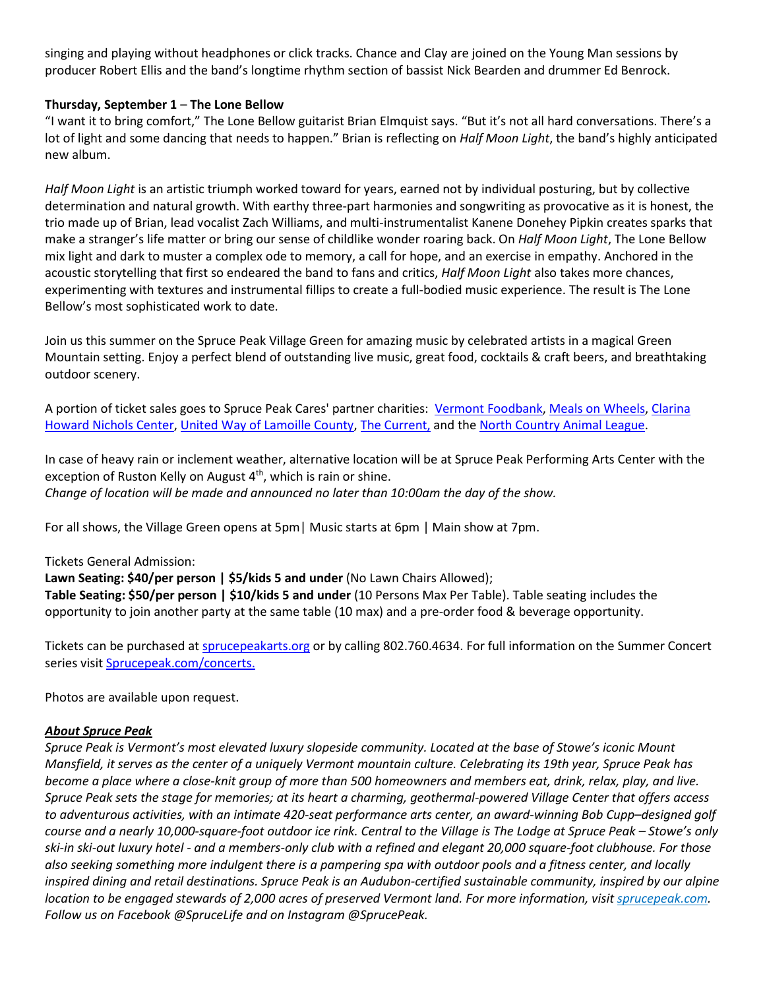singing and playing without headphones or click tracks. Chance and Clay are joined on the Young Man sessions by producer Robert Ellis and the band's longtime rhythm section of bassist Nick Bearden and drummer Ed Benrock.

## **Thursday, September 1** – **The Lone Bellow**

"I want it to bring comfort," The Lone Bellow guitarist Brian Elmquist says. "But it's not all hard conversations. There's a lot of light and some dancing that needs to happen." Brian is reflecting on *Half Moon Light*, the band's highly anticipated new album.

*Half Moon Light* is an artistic triumph worked toward for years, earned not by individual posturing, but by collective determination and natural growth. With earthy three-part harmonies and songwriting as provocative as it is honest, the trio made up of Brian, lead vocalist Zach Williams, and multi-instrumentalist Kanene Donehey Pipkin creates sparks that make a stranger's life matter or bring our sense of childlike wonder roaring back. On *Half Moon Light*, The Lone Bellow mix light and dark to muster a complex ode to memory, a call for hope, and an exercise in empathy. Anchored in the acoustic storytelling that first so endeared the band to fans and critics, *Half Moon Light* also takes more chances, experimenting with textures and instrumental fillips to create a full-bodied music experience. The result is The Lone Bellow's most sophisticated work to date.

Join us this summer on the Spruce Peak Village Green for amazing music by celebrated artists in a magical Green Mountain setting. Enjoy a perfect blend of outstanding live music, great food, cocktails & craft beers, and breathtaking outdoor scenery.

A portion of ticket sales goes to Spruce Peak Cares' partner charities: [Vermont Foodbank,](https://www.vtfoodbank.org/) [Meals on Wheels,](https://www.mowlc.org/) [Clarina](http://clarina.org/)  [Howard Nichols Center,](http://clarina.org/) [United Way of Lamoille County,](https://uwlamoille.org/) [The Current,](https://www.thecurrentnow.org/) and the [North Country Animal League.](https://www.ncal.com/)

In case of heavy rain or inclement weather, alternative location will be at Spruce Peak Performing Arts Center with the exception of Ruston Kelly on August  $4<sup>th</sup>$ , which is rain or shine. *Change of location will be made and announced no later than 10:00am the day of the show.*

For all shows, the Village Green opens at 5pm| Music starts at 6pm | Main show at 7pm.

### Tickets General Admission:

**Lawn Seating: \$40/per person | \$5/kids 5 and under** (No Lawn Chairs Allowed); **Table Seating: \$50/per person | \$10/kids 5 and under** (10 Persons Max Per Table). Table seating includes the opportunity to join another party at the same table (10 max) and a pre-order food & beverage opportunity.

Tickets can be purchased at [sprucepeakarts.org](https://www.sprucepeakarts.org/spruce-peak-summer-concert-series-2022/) or by calling 802.760.4634. For full information on the Summer Concert series visit [Sprucepeak.com/concerts.](https://www.sprucepeak.com/concerts2022) 

Photos are available upon request.

### *About Spruce Peak*

*Spruce Peak is Vermont's most elevated luxury slopeside community. Located at the base of Stowe's iconic Mount Mansfield, it serves as the center of a uniquely Vermont mountain culture. Celebrating its 19th year, Spruce Peak has become a place where a close-knit group of more than 500 homeowners and members eat, drink, relax, play, and live. Spruce Peak sets the stage for memories; at its heart a charming, geothermal-powered Village Center that offers access to adventurous activities, with an intimate 420-seat performance arts center, an award-winning Bob Cupp–designed golf course and a nearly 10,000-square-foot outdoor ice rink. Central to the Village is The Lodge at Spruce Peak – Stowe's only ski-in ski-out luxury hotel - and a members-only club with a refined and elegant 20,000 square-foot clubhouse. For those also seeking something more indulgent there is a pampering spa with outdoor pools and a fitness center, and locally inspired dining and retail destinations. Spruce Peak is an Audubon-certified sustainable community, inspired by our alpine location to be engaged stewards of 2,000 acres of preserved Vermont land. For more information, visit <i>[sprucepeak.com.](http://sprucepeak.com/) Follow us on Facebook @SpruceLife and on Instagram @SprucePeak.*